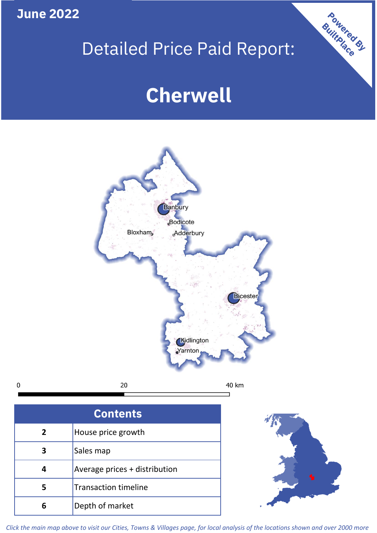**June 2022**

 $\mathbf 0$ 

# Detailed Price Paid Report:

# **Cherwell**



| <b>Contents</b> |                               |  |  |
|-----------------|-------------------------------|--|--|
| $\overline{2}$  | House price growth            |  |  |
| 3               | Sales map                     |  |  |
|                 | Average prices + distribution |  |  |
|                 | <b>Transaction timeline</b>   |  |  |
|                 | Depth of market               |  |  |



Powered By

*Click the main map above to visit our Cities, Towns & Villages page, for local analysis of the locations shown and over 2000 more*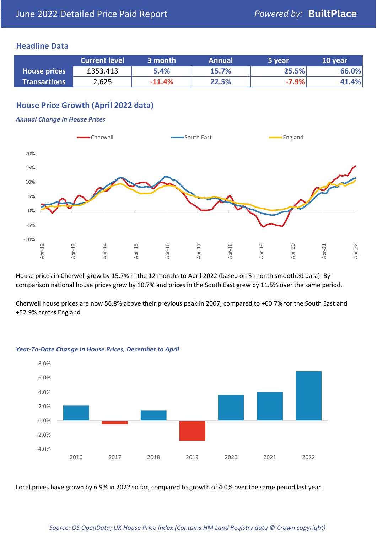## **Headline Data**

|                     | <b>Current level</b> | 3 month  | <b>Annual</b> | '5 year | 10 year |
|---------------------|----------------------|----------|---------------|---------|---------|
| <b>House prices</b> | £353,413             | 5.4%     | 15.7%         | 25.5%   | 66.0%   |
| <b>Transactions</b> | 2,625                | $-11.4%$ | 22.5%         | $-7.9%$ | 41.4%   |

## **House Price Growth (April 2022 data)**

#### *Annual Change in House Prices*



House prices in Cherwell grew by 15.7% in the 12 months to April 2022 (based on 3-month smoothed data). By comparison national house prices grew by 10.7% and prices in the South East grew by 11.5% over the same period.

Cherwell house prices are now 56.8% above their previous peak in 2007, compared to +60.7% for the South East and +52.9% across England.



#### *Year-To-Date Change in House Prices, December to April*

Local prices have grown by 6.9% in 2022 so far, compared to growth of 4.0% over the same period last year.

### *Source: OS OpenData; UK House Price Index (Contains HM Land Registry data © Crown copyright)*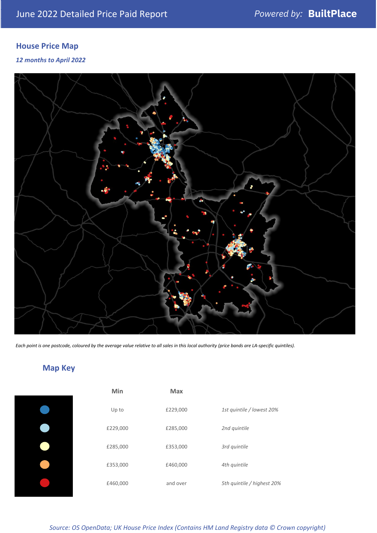# **House Price Map**

*12 months to April 2022*



*Each point is one postcode, coloured by the average value relative to all sales in this local authority (price bands are LA-specific quintiles).*

# **Map Key**

| Min      | <b>Max</b> |                            |
|----------|------------|----------------------------|
| Up to    | £229,000   | 1st quintile / lowest 20%  |
| £229,000 | £285,000   | 2nd quintile               |
| £285,000 | £353,000   | 3rd quintile               |
| £353,000 | £460,000   | 4th quintile               |
| £460,000 | and over   | 5th quintile / highest 20% |

*Source: OS OpenData; UK House Price Index (Contains HM Land Registry data © Crown copyright)*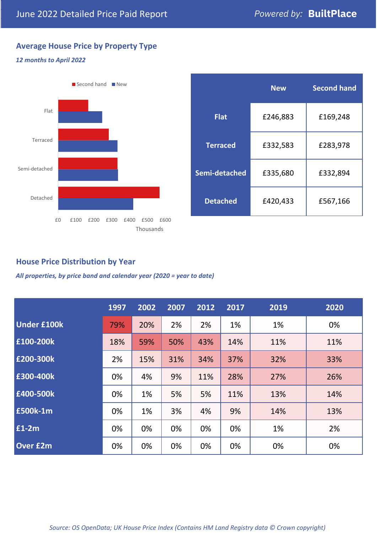## **Average House Price by Property Type**

### *12 months to April 2022*



|                 | <b>New</b> | <b>Second hand</b> |  |  |
|-----------------|------------|--------------------|--|--|
| <b>Flat</b>     | £246,883   | £169,248           |  |  |
| <b>Terraced</b> | £332,583   | £283,978           |  |  |
| Semi-detached   | £335,680   | £332,894           |  |  |
| <b>Detached</b> | £420,433   | £567,166           |  |  |

## **House Price Distribution by Year**

*All properties, by price band and calendar year (2020 = year to date)*

|                    | 1997 | 2002 | 2007 | 2012 | 2017 | 2019 | 2020 |
|--------------------|------|------|------|------|------|------|------|
| <b>Under £100k</b> | 79%  | 20%  | 2%   | 2%   | 1%   | 1%   | 0%   |
| £100-200k          | 18%  | 59%  | 50%  | 43%  | 14%  | 11%  | 11%  |
| E200-300k          | 2%   | 15%  | 31%  | 34%  | 37%  | 32%  | 33%  |
| £300-400k          | 0%   | 4%   | 9%   | 11%  | 28%  | 27%  | 26%  |
| £400-500k          | 0%   | 1%   | 5%   | 5%   | 11%  | 13%  | 14%  |
| <b>£500k-1m</b>    | 0%   | 1%   | 3%   | 4%   | 9%   | 14%  | 13%  |
| £1-2m              | 0%   | 0%   | 0%   | 0%   | 0%   | 1%   | 2%   |
| <b>Over £2m</b>    | 0%   | 0%   | 0%   | 0%   | 0%   | 0%   | 0%   |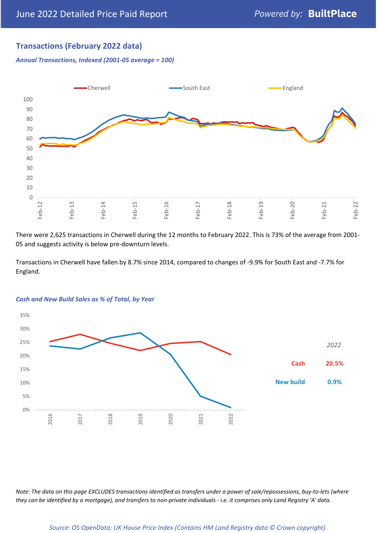## **Transactions (February 2022 data)**

*Annual Transactions, Indexed (2001-05 average = 100)*



There were 2,625 transactions in Cherwell during the 12 months to February 2022. This is 73% of the average from 2001- 05 and suggests activity is below pre-downturn levels.

Transactions in Cherwell have fallen by 8.7% since 2014, compared to changes of -9.9% for South East and -7.7% for England.



#### *Cash and New Build Sales as % of Total, by Year*

*Note: The data on this page EXCLUDES transactions identified as transfers under a power of sale/repossessions, buy-to-lets (where they can be identified by a mortgage), and transfers to non-private individuals - i.e. it comprises only Land Registry 'A' data.*